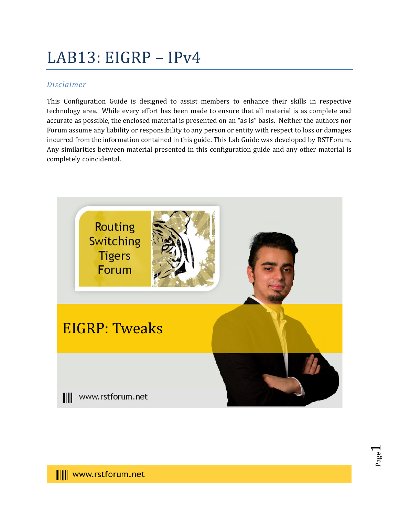# LAB13: EIGRP – IPv4

#### *Disclaimer*

This Configuration Guide is designed to assist members to enhance their skills in respective technology area. While every effort has been made to ensure that all material is as complete and accurate as possible, the enclosed material is presented on an "as is" basis. Neither the authors nor Forum assume any liability or responsibility to any person or entity with respect to loss or damages incurred from the information contained in this guide. This Lab Guide was developed by RSTForum. Any similarities between material presented in this configuration guide and any other material is completely coincidental.



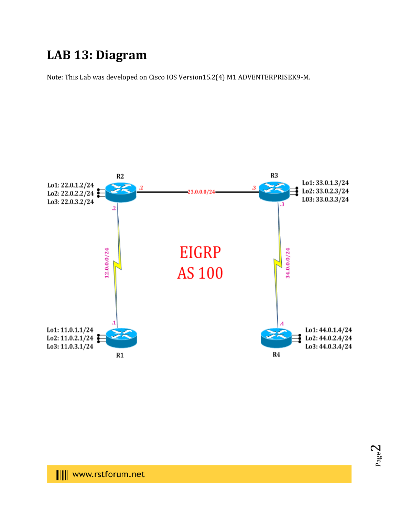## **LAB 13: Diagram**

Note: This Lab was developed on Cisco IOS Version15.2(4) M1 ADVENTERPRISEK9-M.



Page  $\boldsymbol{\sim}$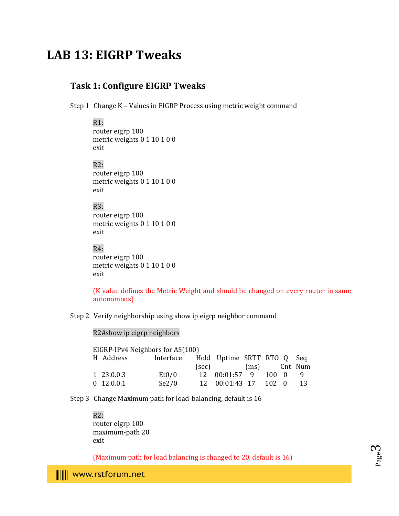### **LAB 13: EIGRP Tweaks**

#### **Task 1: Configure EIGRP Tweaks**

Step 1 Change K – Values in EIGRP Process using metric weight command

#### R1: router eigrp 100 metric weights 0 1 10 1 0 0 exit

R2: router eigrp 100 metric weights 0 1 10 1 0 0 exit

#### R3: router eigrp 100 metric weights 0 1 10 1 0 0 exit

R4: router eigrp 100 metric weights 0 1 10 1 0 0 exit

(K value defines the Metric Weight and should be changed on every router in same autonomous)

Step 2 Verify neighborship using show ip eigrp neighbor command

#### R2#show ip eigrp neighbors

| EIGRP-IPv4 Neighbors for AS(100) |              |                                      |  |                      |  |  |  |     |
|----------------------------------|--------------|--------------------------------------|--|----------------------|--|--|--|-----|
|                                  | H Address    | Interface Hold Uptime SRTT RTO Q Seq |  |                      |  |  |  |     |
|                                  |              |                                      |  | (sec) (ms) Cnt Num   |  |  |  |     |
|                                  | 1 23.0.0.3   | Et0/0                                |  | 12 00:01:57 9 100 0  |  |  |  |     |
|                                  | $0$ 12.0.0.1 | Se2/0                                |  | 12 00:01:43 17 102 0 |  |  |  | 13. |

Step 3 Change Maximum path for load-balancing, default is 16

R2: router eigrp 100 maximum-path 20 exit

(Maximum path for load balancing is changed to 20, default is 16)



Page ო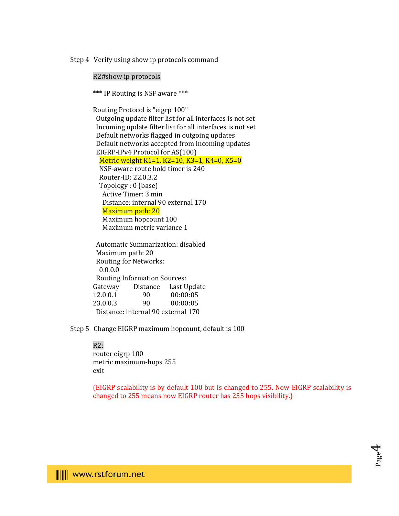Step 4 Verify using show ip protocols command

R2#show ip protocols

\*\*\* IP Routing is NSF aware \*\*\*

Routing Protocol is "eigrp 100" Outgoing update filter list for all interfaces is not set Incoming update filter list for all interfaces is not set Default networks flagged in outgoing updates Default networks accepted from incoming updates EIGRP-IPv4 Protocol for AS(100) Metric weight K1=1, K2=10, K3=1, K4=0, K5=0 NSF-aware route hold timer is 240 Router-ID: 22.0.3.2 Topology : 0 (base) Active Timer: 3 min Distance: internal 90 external 170 Maximum path: 20 Maximum hopcount 100 Maximum metric variance 1

 Automatic Summarization: disabled Maximum path: 20 Routing for Networks: 0.0.0.0 Routing Information Sources: Gateway Distance Last Update 12.0.0.1 90 00:00:05 23.0.0.3 90 00:00:05 Distance: internal 90 external 170

Step 5 Change EIGRP maximum hopcount, default is 100

#### R2:

router eigrp 100 metric maximum-hops 255 exit

(EIGRP scalability is by default 100 but is changed to 255. Now EIGRP scalability is changed to 255 means now EIGRP router has 255 hops visibility.)